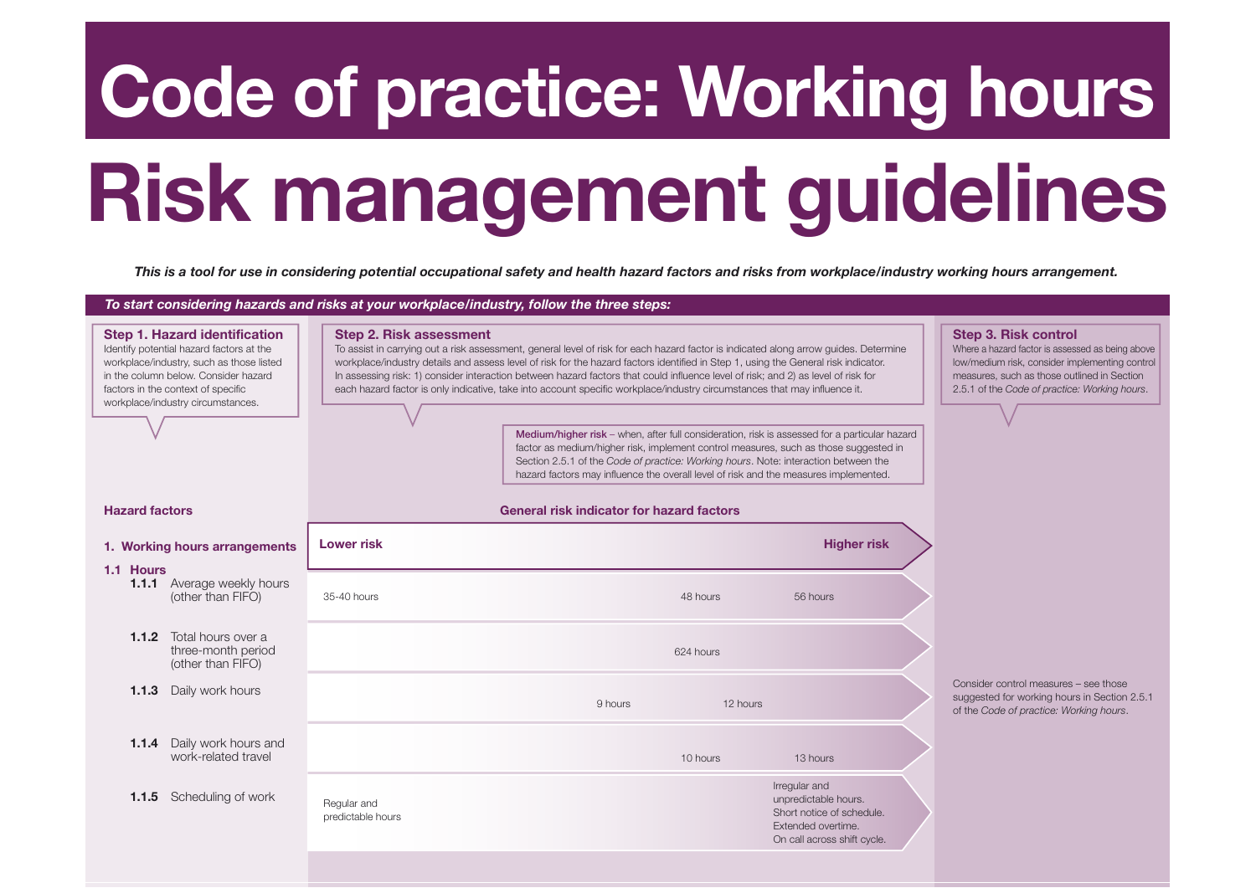## **Code of practice: Working hours**

## **Risk management guidelines**

*This is a tool for use in considering potential occupational safety and health hazard factors and risks from workplace/industry working hours arrangement.*

*To start considering hazards and risks at your workplace/industry, follow the three steps:*

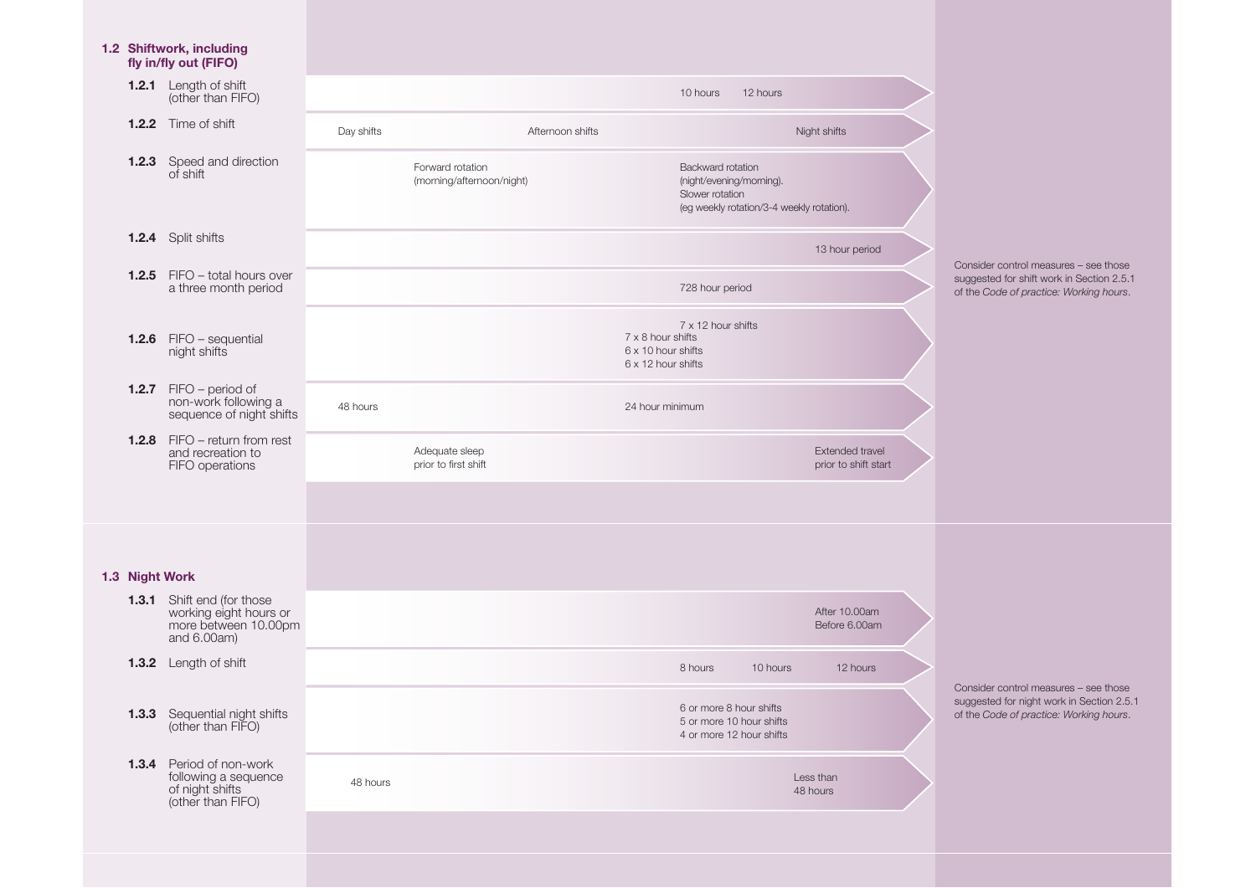|                | 1.2 Shiftwork, including<br>fly in/fly out (FIFO)                                                  |                                               |                                        |                                                                                                               |                                         |                                                                                                                               |
|----------------|----------------------------------------------------------------------------------------------------|-----------------------------------------------|----------------------------------------|---------------------------------------------------------------------------------------------------------------|-----------------------------------------|-------------------------------------------------------------------------------------------------------------------------------|
|                | <b>1.2.1</b> Length of shift<br>(other than FIFO)                                                  |                                               |                                        | 10 hours<br>12 hours                                                                                          |                                         |                                                                                                                               |
|                | <b>1.2.2</b> Time of shift                                                                         | Day shifts                                    | Afternoon shifts                       |                                                                                                               | Night shifts                            |                                                                                                                               |
|                | <b>1.2.3</b> Speed and direction<br>of shift                                                       | Forward rotation<br>(morning/afternoon/night) |                                        | Backward rotation<br>(night/evening/morning).<br>Slower rotation<br>(eg weekly rotation/3-4 weekly rotation). |                                         |                                                                                                                               |
|                | <b>1.2.4</b> Split shifts                                                                          |                                               |                                        |                                                                                                               | 13 hour period                          |                                                                                                                               |
|                | <b>1.2.5</b> FIFO – total hours over<br>a three month period                                       |                                               |                                        | 728 hour period                                                                                               |                                         | Consider control measures - see those<br>suggested for shift work in Section 2.5.1<br>of the Code of practice: Working hours. |
|                | 1.2.6 FIFO - sequential<br>night shifts                                                            |                                               |                                        | 7 x 12 hour shifts<br>7 x 8 hour shifts<br>6 x 10 hour shifts<br>6 x 12 hour shifts                           |                                         |                                                                                                                               |
|                | $1.2.7$ FIFO – period of<br>non-work following a<br>sequence of night shifts                       | 48 hours                                      |                                        | 24 hour minimum                                                                                               |                                         |                                                                                                                               |
|                | 1.2.8 FIFO - return from rest<br>and recreation to<br>FIFO operations                              |                                               | Adequate sleep<br>prior to first shift |                                                                                                               | Extended travel<br>prior to shift start |                                                                                                                               |
|                |                                                                                                    |                                               |                                        |                                                                                                               |                                         |                                                                                                                               |
| 1.3 Night Work |                                                                                                    |                                               |                                        |                                                                                                               |                                         |                                                                                                                               |
|                | <b>1.3.1</b> Shift end (for those<br>working eight hours or<br>more between 10.00pm<br>and 6.00am) |                                               |                                        |                                                                                                               | After 10.00am<br>Before 6.00am          |                                                                                                                               |
|                | 1.3.2 Length of shift                                                                              |                                               |                                        | 10 hours<br>8 hours                                                                                           | 12 hours                                | Consider control measures - see those                                                                                         |
|                | <b>1.3.3</b> Sequential night shifts (other than FIFO)                                             |                                               |                                        | 6 or more 8 hour shifts<br>5 or more 10 hour shifts<br>4 or more 12 hour shifts                               |                                         | suggested for night work in Section 2.5.<br>of the Code of practice: Working hours.                                           |
|                | <b>1.3.4</b> Period of non-work<br>following a sequence<br>of night shifts<br>(other than FIFO)    | 48 hours                                      |                                        |                                                                                                               | Less than<br>48 hours                   |                                                                                                                               |
|                |                                                                                                    |                                               |                                        |                                                                                                               |                                         |                                                                                                                               |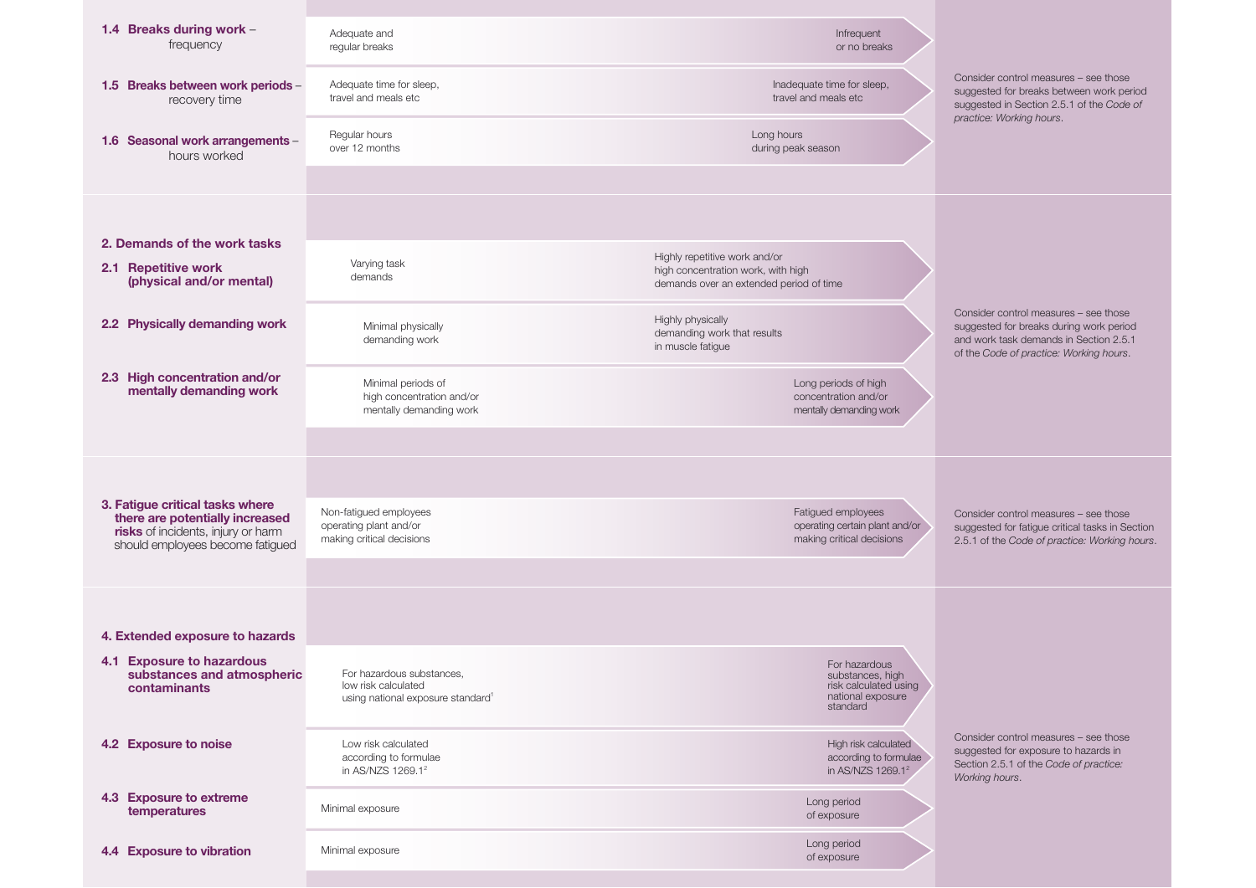| 1.4 Breaks during work -<br>frequency                                                                                                        | Adequate and<br>regular breaks                                                                    | Infrequent<br>or no breaks                                                                  |                                                                                                                                                                       |
|----------------------------------------------------------------------------------------------------------------------------------------------|---------------------------------------------------------------------------------------------------|---------------------------------------------------------------------------------------------|-----------------------------------------------------------------------------------------------------------------------------------------------------------------------|
| 1.5 Breaks between work periods -<br>recovery time                                                                                           | Adequate time for sleep,<br>travel and meals etc                                                  | Inadequate time for sleep,<br>travel and meals etc                                          | Consider control measures - see those<br>suggested for breaks between work period<br>suggested in Section 2.5.1 of the Code of<br>practice: Working hours.            |
| 1.6 Seasonal work arrangements -<br>hours worked                                                                                             | Regular hours<br>over 12 months                                                                   | Long hours<br>during peak season                                                            |                                                                                                                                                                       |
|                                                                                                                                              |                                                                                                   |                                                                                             |                                                                                                                                                                       |
| 2. Demands of the work tasks                                                                                                                 |                                                                                                   | Highly repetitive work and/or                                                               |                                                                                                                                                                       |
| 2.1 Repetitive work<br>(physical and/or mental)                                                                                              | Varying task<br>demands                                                                           | high concentration work, with high<br>demands over an extended period of time               |                                                                                                                                                                       |
| 2.2 Physically demanding work                                                                                                                | Minimal physically<br>demanding work                                                              | Highly physically<br>demanding work that results<br>in muscle fatigue                       | Consider control measures - see those<br>suggested for breaks during work period<br>and work task demands in Section 2.5.1<br>of the Code of practice: Working hours. |
| 2.3 High concentration and/or<br>mentally demanding work                                                                                     | Minimal periods of<br>high concentration and/or<br>mentally demanding work                        | Long periods of high<br>concentration and/or<br>mentally demanding work                     |                                                                                                                                                                       |
|                                                                                                                                              |                                                                                                   |                                                                                             |                                                                                                                                                                       |
| 3. Fatigue critical tasks where<br>there are potentially increased<br>risks of incidents, injury or harm<br>should employees become fatigued | Non-fatigued employees<br>operating plant and/or<br>making critical decisions                     | Fatigued employees<br>operating certain plant and/or<br>making critical decisions           | Consider control measures - see those<br>suggested for fatigue critical tasks in Section<br>2.5.1 of the Code of practice: Working hours.                             |
|                                                                                                                                              |                                                                                                   |                                                                                             |                                                                                                                                                                       |
|                                                                                                                                              |                                                                                                   |                                                                                             |                                                                                                                                                                       |
| 4. Extended exposure to hazards                                                                                                              |                                                                                                   |                                                                                             |                                                                                                                                                                       |
| 4.1 Exposure to hazardous<br>substances and atmospheric<br>contaminants                                                                      | For hazardous substances,<br>low risk calculated<br>using national exposure standard <sup>1</sup> | For hazardous<br>substances, high<br>risk calculated using<br>national exposure<br>standard |                                                                                                                                                                       |
| 4.2 Exposure to noise                                                                                                                        | Low risk calculated<br>according to formulae<br>in AS/NZS 1269.1 <sup>2</sup>                     | High risk calculated<br>according to formulae<br>in AS/NZS 1269.1 <sup>2</sup>              | Consider control measures - see those<br>suggested for exposure to hazards in<br>Section 2.5.1 of the Code of practice:<br>Working hours.                             |
| 4.3 Exposure to extreme<br>temperatures                                                                                                      | Minimal exposure                                                                                  | Long period<br>of exposure                                                                  |                                                                                                                                                                       |
| 4.4 Exposure to vibration                                                                                                                    | Minimal exposure                                                                                  | Long period<br>of exposure                                                                  |                                                                                                                                                                       |